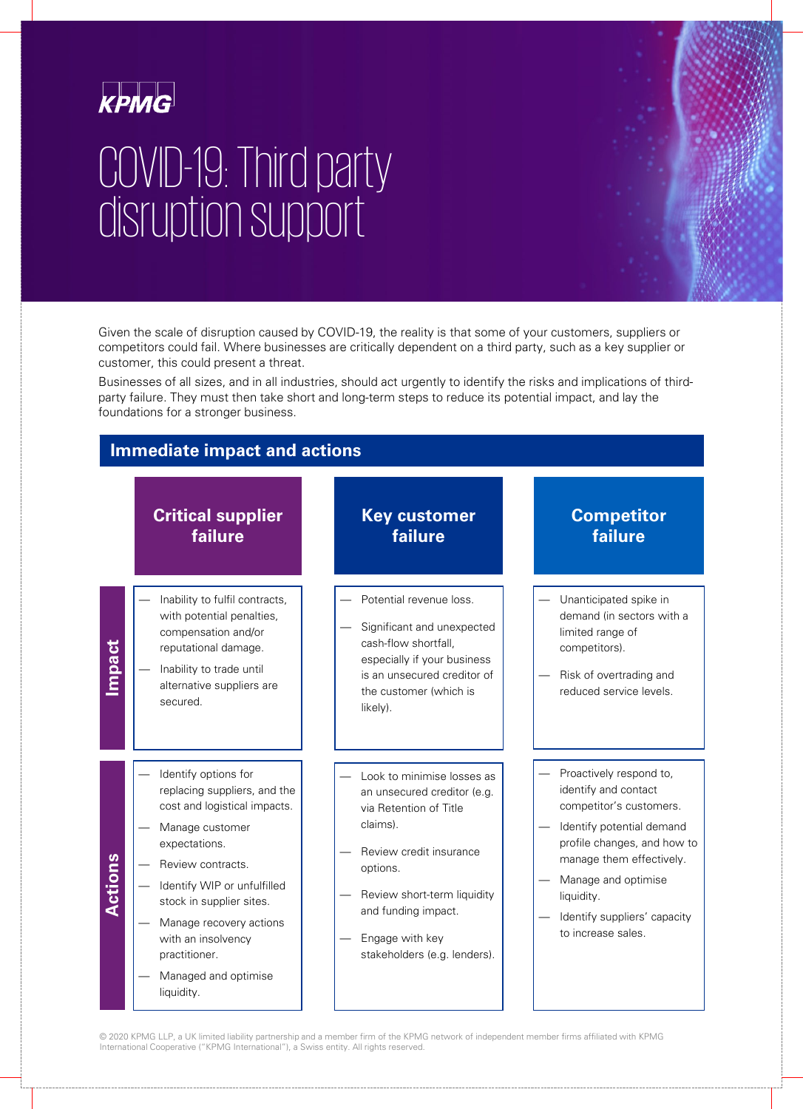

# COVID-19: Third party disruption support

Given the scale of disruption caused by COVID-19, the reality is that some of your customers, suppliers or competitors could fail. Where businesses are critically dependent on a third party, such as a key supplier or customer, this could present a threat.

Businesses of all sizes, and in all industries, should act urgently to identify the risks and implications of thirdparty failure. They must then take short and long-term steps to reduce its potential impact, and lay the foundations for a stronger business.

#### . **Immediate impact and actions Critical supplier failure Key customer failure Competitor failure** Inability to fulfil contracts. with potential penalties, compensation and/or reputational damage. — Inability to trade until alternative suppliers are secured. — Potential revenue loss. Significant and unexpected cash-flow shortfall, especially if your business is an unsecured creditor of the customer (which is likely). Unanticipated spike in demand (in sectors with a limited range of competitors). — Risk of overtrading and reduced service levels. — Identify options for replacing suppliers, and the cost and logistical impacts. Manage customer expectations. Review contracts. Identify WIP or unfulfilled stock in supplier sites. Manage recovery actions with an insolvency practitioner. — Managed and optimise liquidity. — Look to minimise losses as an unsecured creditor (e.g. via Retention of Title claims). — Review credit insurance options. — Review short-term liquidity and funding impact. — Engage with key stakeholders (e.g. lenders). Proactively respond to, identify and contact competitor's customers. Identify potential demand profile changes, and how to manage them effectively. — Manage and optimise liquidity. Identify suppliers' capacity to increase sales. mpact **Actions**

© 2020 KPMG LLP, a UK limited liability partnership and a member firm of the KPMG network of independent member firms affiliated with KPMG International Cooperative ("KPMG International"), a Swiss entity. All rights reserved.